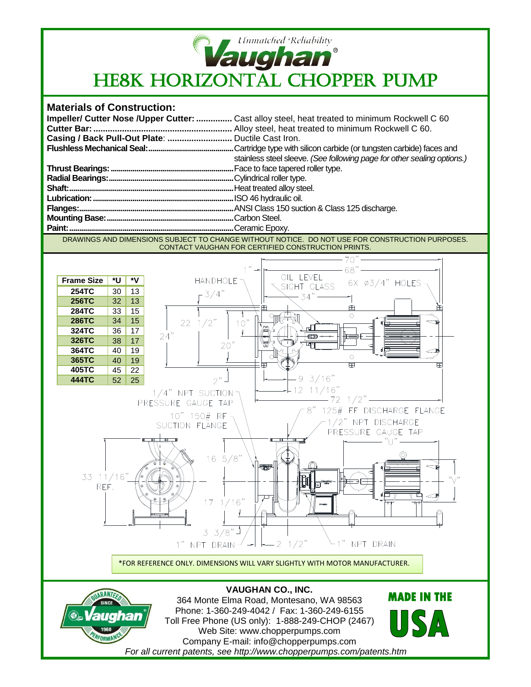

## **Materials of Construction:**

|                                                   | Impeller/ Cutter Nose / Upper Cutter:  Cast alloy steel, heat treated to minimum Rockwell C 60 |
|---------------------------------------------------|------------------------------------------------------------------------------------------------|
|                                                   |                                                                                                |
| Casing / Back Pull-Out Plate:  Ductile Cast Iron. |                                                                                                |
|                                                   |                                                                                                |
|                                                   | stainless steel sleeve. (See following page for other sealing options.)                        |
|                                                   |                                                                                                |
|                                                   |                                                                                                |
|                                                   |                                                                                                |
|                                                   |                                                                                                |
|                                                   |                                                                                                |
|                                                   |                                                                                                |
|                                                   |                                                                                                |

DRAWINGS AND DIMENSIONS SUBJECT TO CHANGE WITHOUT NOTICE. DO NOT USE FOR CONSTRUCTION PURPOSES. CONTACT VAUGHAN FOR CERTIFIED CONSTRUCTION PRINTS.